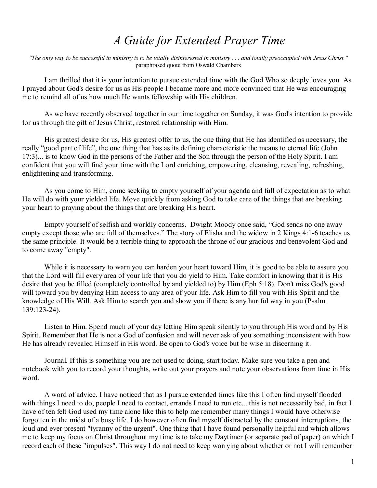# *A Guide for Extended Prayer Time*

*"The only way to be successful in ministry is to be totally disinterested in ministry . . . and totally preoccupied with Jesus Christ."* paraphrased quote from Oswald Chambers

I am thrilled that it is your intention to pursue extended time with the God Who so deeply loves you. As I prayed about God's desire for us as His people I became more and more convinced that He was encouraging me to remind all of us how much He wants fellowship with His children.

As we have recently observed together in our time together on Sunday, it was God's intention to provide for us through the gift of Jesus Christ, restored relationship with Him.

His greatest desire for us, His greatest offer to us, the one thing that He has identified as necessary, the really "good part of life", the one thing that has as its defining characteristic the means to eternal life (John 17:3)... is to know God in the persons of the Father and the Son through the person of the Holy Spirit. I am confident that you will find your time with the Lord enriching, empowering, cleansing, revealing, refreshing, enlightening and transforming.

As you come to Him, come seeking to empty yourself of your agenda and full of expectation as to what He will do with your yielded life. Move quickly from asking God to take care of the things that are breaking your heart to praying about the things that are breaking His heart.

Empty yourself of selfish and worldly concerns. Dwight Moody once said, "God sends no one away empty except those who are full of themselves." The story of Elisha and the widow in 2 Kings 4:1-6 teaches us the same principle. It would be a terrible thing to approach the throne of our gracious and benevolent God and to come away "empty".

While it is necessary to warn you can harden your heart toward Him, it is good to be able to assure you that the Lord will fill every area of your life that you do yield to Him. Take comfort in knowing that it is His desire that you be filled (completely controlled by and yielded to) by Him (Eph 5:18). Don't miss God's good will toward you by denying Him access to any area of your life. Ask Him to fill you with His Spirit and the knowledge of His Will. Ask Him to search you and show you if there is any hurtful way in you (Psalm 139:123-24).

Listen to Him. Spend much of your day letting Him speak silently to you through His word and by His Spirit. Remember that He is not a God of confusion and will never ask of you something inconsistent with how He has already revealed Himself in His word. Be open to God's voice but be wise in discerning it.

Journal. If this is something you are not used to doing, start today. Make sure you take a pen and notebook with you to record your thoughts, write out your prayers and note your observations from time in His word.

A word of advice. I have noticed that as I pursue extended times like this I often find myself flooded with things I need to do, people I need to contact, errands I need to run etc... this is not necessarily bad, in fact I have of ten felt God used my time alone like this to help me remember many things I would have otherwise forgotten in the midst of a busy life. I do however often find myself distracted by the constant interruptions, the loud and ever present "tyranny of the urgent". One thing that I have found personally helpful and which allows me to keep my focus on Christ throughout my time is to take my Daytimer (or separate pad of paper) on which I record each of these "impulses". This way I do not need to keep worrying about whether or not I will remember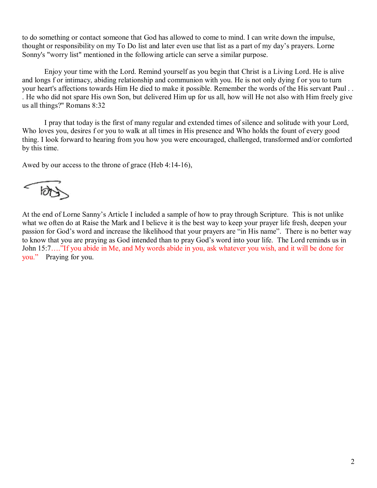to do something or contact someone that God has allowed to come to mind. I can write down the impulse, thought or responsibility on my To Do list and later even use that list as a part of my day's prayers. Lorne Sonny's "worry list" mentioned in the following article can serve a similar purpose.

Enjoy your time with the Lord. Remind yourself as you begin that Christ is a Living Lord. He is alive and longs f or intimacy, abiding relationship and communion with you. He is not only dying f or you to turn your heart's affections towards Him He died to make it possible. Remember the words of the His servant Paul . . . He who did not spare His own Son, but delivered Him up for us all, how will He not also with Him freely give us all things?" Romans 8:32

I pray that today is the first of many regular and extended times of silence and solitude with your Lord, Who loves you, desires f or you to walk at all times in His presence and Who holds the fount of every good thing. I look forward to hearing from you how you were encouraged, challenged, transformed and/or comforted by this time.

Awed by our access to the throne of grace (Heb 4:14-16),

 $\overline{\omega}$ 

At the end of Lorne Sanny's Article I included a sample of how to pray through Scripture. This is not unlike what we often do at Raise the Mark and I believe it is the best way to keep your prayer life fresh, deepen your passion for God's word and increase the likelihood that your prayers are "in His name". There is no better way to know that you are praying as God intended than to pray God's word into your life. The Lord reminds us in John 15:7…."If you abide in Me, and My words abide in you, ask whatever you wish, and it will be done for you." Praying for you.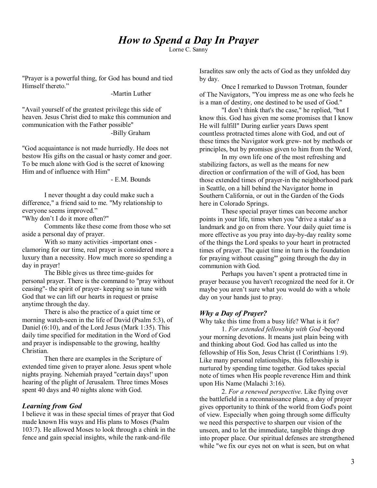# *How to Spend a Day In Prayer*

Lorne C. Sanny

"Prayer is a powerful thing, for God has bound and tied Himself thereto.<sup>"</sup>

-Martin Luther

"Avail yourself of the greatest privilege this side of heaven. Jesus Christ died to make this communion and communication with the Father possible" -Billy Graham

"God acquaintance is not made hurriedly. He does not bestow His gifts on the casual or hasty comer and goer. To be much alone with God is the secret of knowing Him and of influence with Him"

- E.M. Bounds

I never thought a day could make such a difference," a friend said to me. "My relationship to everyone seems improved."

"Why don't I do it more often?"

Comments like these come from those who set aside a personal day of prayer.

With so many activities -important ones clamoring for our time, real prayer is considered more a luxury than a necessity. How much more so spending a day in prayer!

The Bible gives us three time-guides for personal prayer. There is the command to "pray without ceasing"- the spirit of prayer- keeping so in tune with God that we can lift our hearts in request or praise anytime through the day.

There is also the practice of a quiet time or morning watch-seen in the life of David (Psalm 5:3), of Daniel (6:10), and of the Lord Jesus (Mark 1:35). This daily time specified for meditation in the Word of God and prayer is indispensable to the growing, healthy Christian.

Then there are examples in the Scripture of extended time given to prayer alone. Jesus spent whole nights praying. Nehemiah prayed "certain days!' upon hearing of the plight of Jerusalem. Three times Moses spent 40 days and 40 nights alone with God.

### *Learning from God*

I believe it was in these special times of prayer that God made known His ways and His plans to Moses (Psalm 103:7). He allowed Moses to look through a chink in the fence and gain special insights, while the rank-and-file

Israelites saw only the acts of God as they unfolded day by day.

Once I remarked to Dawson Trotman, founder of The Navigators, "You impress me as one who feels he is a man of destiny, one destined to be used of God."

"I don't think that's the case," he replied, "but I know this. God has given me some promises that I know He will fulfill" During earlier years Daws spent countless protracted times alone with God, and out of these times the Navigator work grew- not by methods or principles, but by promises given to him from the Word,

In my own life one of the most refreshing and stabilizing factors, as well as the means for new direction or confirmation of the will of God, has been those extended times of prayer-in the neighborhood park in Seattle, on a hill behind the Navigator home in Southern California, or out in the Garden of the Gods here in Colorado Springs.

These special prayer times can become anchor points in your life, times when you "drive a stake' as a landmark and go on from there. Your daily quiet time is more effective as you pray into day-by-day reality some of the things the Lord speaks to your heart in protracted times of prayer. The quiet time in turn is the foundation for praying without ceasing"' going through the day in communion with God.

Perhaps you haven't spent a protracted time in prayer because you haven't recognized the need for it. Or maybe you aren't sure what you would do with a whole day on your hands just to pray.

### *Why a Day of Prayer?*

Why take this time from a busy life? What is it for?

1. *For extended fellowship with God* -beyond your morning devotions. It means just plain being with and thinking about God. God has called us into the fellowship of His Son, Jesus Christ (I Corinthians 1:9). Like many personal relationships, this fellowship is nurtured by spending time together. God takes special note of times when His people reverence Him and think upon His Name (Malachi 3:16).

2. *For a renewed perspective*. Like flying over the battlefield in a reconnaissance plane, a day of prayer gives opportunity to think of the world from God's point of view. Especially when going through some difficulty we need this perspective to sharpen our vision of the unseen, and to let the immediate, tangible things drop into proper place. Our spiritual defenses are strengthened while "we fix our eyes not on what is seen, but on what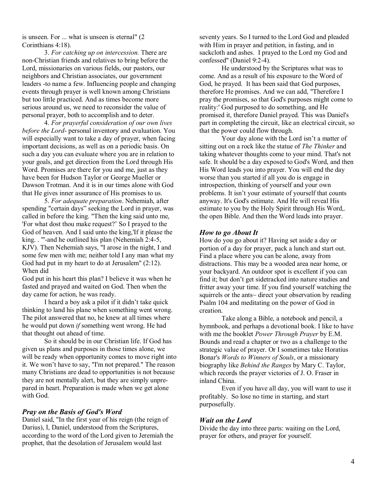is unseen. For ... what is unseen is eternal" (2 Corinthians 4:18).

3. *For catching up on intercession.* There are non-Christian friends and relatives to bring before the Lord, missionaries on various fields, our pastors, our neighbors and Christian associates, our government leaders -to name a few. Influencing people and changing events through prayer is well known among Christians but too little practiced. And as times become more serious around us, we need to reconsider the value of personal prayer, both to accomplish and to deter.

4. *For prayerful consideration of our own lives before the Lord*- personal inventory and evaluation. You will especially want to take a day of prayer, when facing important decisions, as well as on a periodic basis. On such a day you can evaluate where you are in relation to your goals, and get direction from the Lord through His Word. Promises are there for you and me, just as they have been for Hudson Taylor or George Mueller or Dawson Trotman. And it is in our times alone with God that He gives inner assurance of His promises to us.

5. *For adequate preparation*. Nehemiah, after spending "certain days" seeking the Lord in prayer, was called in before the king. "Then the king said unto me, 'For what dost thou make request?' So I prayed to the God of heaven. And I said unto the king,'If it please the king. . "'-and he outlined his plan (Nehemiah 2:4-5, KJV). Then Nehemiah says, "I arose in the night, I and some few men with me; neither told I any man what my God had put in my heart to do at Jerusalem" (2:12). When did

God put in his heart this plan? I believe it was when he fasted and prayed and waited on God. Then when the day came for action, he was ready.

I heard a boy ask a pilot if it didn't take quick thinking to land his plane when something went wrong. The pilot answered that no, he knew at all times where he would put down *if* something went wrong. He had that thought out ahead of time.

So it should be in our Christian life. If God has given us plans and purposes in those times alone, we will be ready when opportunity comes to move right into it. We won't have to say, "I'm not prepared." The reason many Christians are dead to opportunities is not because they are not mentally alert, but they are simply unprepared in heart. Preparation is made when we get alone with God.

### *Pray on the Basis of God's Word*

Daniel said, "In the first year of his reign (the reign of Darius), I, Daniel, understood from the Scriptures, according to the word of the Lord given to Jeremiah the prophet, that the desolation of Jerusalem would last

seventy years. So I turned to the Lord God and pleaded with Him in prayer and petition, in fasting, and in sackcloth and ashes. I prayed to the Lord my God and confessed" (Daniel 9:2-4).

He understood by the Scriptures what was to come. And as a result of his exposure to the Word of God, he prayed. It has been said that God purposes, therefore He promises. And we can add, "Therefore I pray the promises, so that God's purposes might come to reality:' God purposed to do something, and He promised it, therefore Daniel prayed. This was Daniel's part in completing the circuit, like an electrical circuit, so that the power could flow through.

Your day alone with the Lord isn't a matter of sitting out on a rock like the statue of *The Thinker* and taking whatever thoughts come to your mind. That's not safe. It should be a day exposed to God's Word, and then His Word leads you into prayer. You will end the day worse than you started if all you do is engage in introspection, thinking of yourself and your own problems. It isn't your estimate of yourself that counts anyway. It's God's estimate. And He will reveal His estimate to you by the Holy Spirit through His Word,. the open Bible. And then the Word leads into prayer.

#### *How to go About It*

How do you go about it? Having set aside a day or portion of a day for prayer, pack a lunch and start out. Find a place where you can be alone, away from distractions. This may be a wooded area near home, or your backyard. An outdoor spot is excellent if you can find it; but don't get sidetracked into nature studies and fritter away your time. If you find yourself watching the squirrels or the ants~ direct your observation by reading Psalm 104 and meditating on the power of God in creation.

Take along a Bible, a notebook and pencil, a hymnbook, and perhaps a devotional book. I like to have with me the booklet *Power Through Prayer* by E.M. Bounds and read a chapter or two as a challenge to the strategic value of prayer. Or I sometimes take Horatius Bonar's *Words to Winners of Souls*, or a missionary biography like *Behind the Ranges* by Mary C. Taylor, which records the prayer victories of J. O. Fraser in inland China.

Even if you have all day, you will want to use it profitably. So lose no time in starting, and start purposefully.

### *Wait on the Lord*

Divide the day into three parts: waiting on the Lord, prayer for others, and prayer for yourself.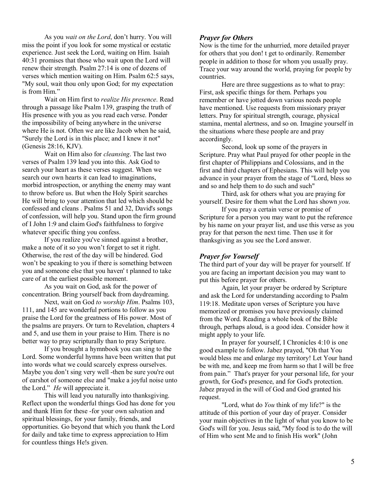As you *wait on the Lord*, don't hurry. You will miss the point if you look for some mystical or ecstatic experience. Just seek the Lord, waiting on Him. Isaiah 40:31 promises that those who wait upon the Lord will renew their strength. Psalm 27:14 is one of dozens of verses which mention waiting on Him. Psalm 62:5 says, "My soul, wait thou only upon God; for my expectation is from Him."

Wait on Him first to *realize His presence*. Read through a passage like Psalm 139, grasping the truth of His presence with you as you read each verse. Ponder the impossibility of being anywhere in the universe where He is not. Often we are like Jacob when he said, "Surely the Lord is in this place; and I knew it not" (Genesis 28:16, KJV).

Wait on Him also for *cleansing*. The last two verses of Psalm 139 lead you into this. Ask God to search your heart as these verses suggest. When we search our own hearts it can lead to imaginations, morbid introspection, or anything the enemy may want to throw before us. But when the Holy Spirit searches He will bring to your attention that led which should be confessed and cleans . Psalms 51 and 32, David's songs of confession, will help you. Stand upon the firm ground of I John 1:9 and claim God's faithfulness to forgive whatever specific thing you confess.

If you realize you've sinned against a brother, make a note of it so you won't forget to set it right. Otherwise, the rest of the day will be hindered. God won't be speaking to you if there is something between you and someone else that you haven' t planned to take care of at the earliest possible moment.

As you wait on God, ask for the power of concentration. Bring yourself back from daydreaming.

Next, wait on God *to worship Him*. Psalms 103, 111, and 145 are wonderful portions to follow as you praise the Lord for the greatness of His power. Most of the psalms are prayers. Or turn to Revelation, chapters 4 and 5, and use them in your praise to Him. There is no better way to pray scripturally than to pray Scripture.

If you brought a hymnbook you can sing to the Lord. Some wonderful hymns have been written that put into words what we could scarcely express ourselves. Maybe you don't sing very well -then be sure you're out of earshot of someone else and "make a joyful noise unto the Lord." *He* will appreciate it.

This will lead you naturally into thanksgiving. Reflect upon the wonderful things God has done for you and thank Him for these -for your own salvation and spiritual blessings, for your family, friends, and opportunities. Go beyond that which you thank the Lord for daily and take time to express appreciation to Him for countless things He!s given.

### *Prayer for Others*

Now is the time for the unhurried, more detailed prayer for others that you don! t get to ordinarily. Remember people in addition to those for whom you usually pray. Trace your way around the world, praying for people by countries.

Here are three suggestions as to what to pray: First, ask specific things for them. Perhaps you remember or have jotted down various needs people have mentioned. Use requests from missionary prayer letters. Pray for spiritual strength, courage, physical stamina, mental alertness, and so on. Imagine yourself in the situations where these people are and pray accordingly.

Second, look up some of the prayers in Scripture. Pray what Paul prayed for other people in the first chapter of Philippians and Colossians, and in the first and third chapters of Ephesians. This will help you advance in your prayer from the stage of "Lord, bless so and so and help them to do such and such"

Third, ask for others what you are praying for yourself. Desire for them what the Lord has shown *you*.

If you pray a certain verse or promise of Scripture for a person you may want to put the reference by his name on your prayer list, and use this verse as you pray for that person the next time. Then use it for thanksgiving as you see the Lord answer.

### *Prayer for Yourself*

The third part of your day will be prayer for yourself. If you are facing an important decision you may want to put this before prayer for others.

Again, let your prayer be ordered by Scripture and ask the Lord for understanding according to Psalm 119:18. Meditate upon verses of Scripture you have memorized or promises you have previously claimed from the Word. Reading a whole book of the Bible through, perhaps aloud, is a good idea. Consider how it might apply to your life.

In prayer for yourself, I Chronicles 4:10 is one good example to follow. Jabez prayed, "Oh that You would bless me and enlarge my territory! Let Your hand be with me, and keep me from harm so that I will be free from pain." That's prayer for your personal life, for your growth, for God's presence, and for God's protection. Jabez prayed in the will of God and God granted his request.

"Lord, what do *You* think of my life?" is the attitude of this portion of your day of prayer. Consider your main objectives in the light of what you know to be God's will for you. Jesus said, "My food is to do the will of Him who sent Me and to finish His work" (John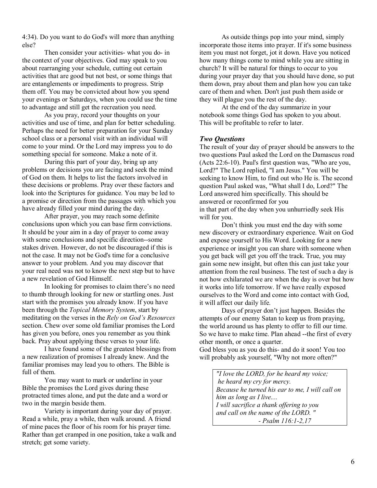4:34). Do you want to do God's will more than anything else?

Then consider your activities- what you do- in the context of your objectives. God may speak to you about rearranging your schedule, cutting out certain activities that are good but not best, or some things that are entanglements or impediments to progress. Strip them off. You may be convicted about how you spend your evenings or Saturdays, when you could use the time to advantage and still get the recreation you need.

As you pray, record your thoughts on your activities and use of time, and plan for better scheduling. Perhaps the need for better preparation for your Sunday school class or a personal visit with an individual will come to your mind. Or the Lord may impress you to do something special for someone. Make a note of it.

During this part of your day, bring up any problems or decisions you are facing and seek the mind of God on them. It helps to list the factors involved in these decisions or problems. Pray over these factors and look into the Scriptures for guidance. You may be led to a promise or direction from the passages with which you have already filled your mind during the day.

After prayer, you may reach some definite conclusions upon which you can base firm convictions. It should be your aim in a day of prayer to come away with some conclusions and specific direction--some stakes driven. However, do not be discouraged if this is not the case. It may not be God's time for a conclusive answer to your problem. And you may discover that your real need was not to know the next step but to have a new revelation of God Himself.

In looking for promises to claim there's no need to thumb through looking for new or startling ones. Just start with the promises you already know. If you have been through the *Topical Memory System*, start by meditating on the verses in the *Rely on God's Resources* section. Chew over some old familiar promises the Lord has given you before, ones you remember as you think back. Pray about applying these verses to your life.

I have found some of the greatest blessings from a new realization of promises I already knew. And the familiar promises may lead you to others. The Bible is full of them.

You may want to mark or underline in your Bible the promises the Lord gives during these protracted times alone, and put the date and a word or two in the margin beside them.

Variety is important during your day of prayer. Read a while, pray a while, then walk around. A friend of mine paces the floor of his room for his prayer time. Rather than get cramped in one position, take a walk and stretch; get some variety.

As outside things pop into your mind, simply incorporate those items into prayer. If it's some business item you must not forget, jot it down. Have you noticed how many things come to mind while you are sitting in church? It will be natural for things to occur to you during your prayer day that you should have done, so put them down, pray about them and plan how you can take care of them and when. Don't just push them aside or they will plague you the rest of the day.

At the end of the day summarize in your notebook some things God has spoken to you about. This will be profitable to refer to later.

#### *Two Questions*

The result of your day of prayer should be answers to the two questions Paul asked the Lord on the Damascus road (Acts 22:6-10). Paul's first question was, "Who are you, Lord?" The Lord replied, "I am Jesus." You will be seeking to know Him, to find out who He is. The second question Paul asked was, "What shall I do, Lord?" The Lord answered him specifically. This should be answered or reconfirmed for you in that part of the day when you unhurriedly seek His will for you.

Don't think you must end the day with some new discovery or extraordinary experience. Wait on God and expose yourself to His Word. Looking for a new experience or insight you can share with someone when you get back will get you off the track. True, you may gain some new insight, but often this can just take your attention from the real business. The test of such a day is not how exhilarated we are when the day is over but how it works into life tomorrow. If we have really exposed ourselves to the Word and come into contact with God, it will affect our daily life.

Days of prayer don't just happen. Besides the attempts of our enemy Satan to keep us from praying, the world around us has plenty to offer to fill our time. So we have to make time. Plan ahead --the first of every other month, or once a quarter.

God bless you as you do this- and do it soon! You too will probably ask yourself, "Why not more often?"

> *"I love the LORD, for he heard my voice; he heard my cry for mercy. Because he turned his ear to me, I will call on him as long as I live.... I will sacrifice a thank offering to you and call on the name of the LORD. " - Psalm 116:1-2,17*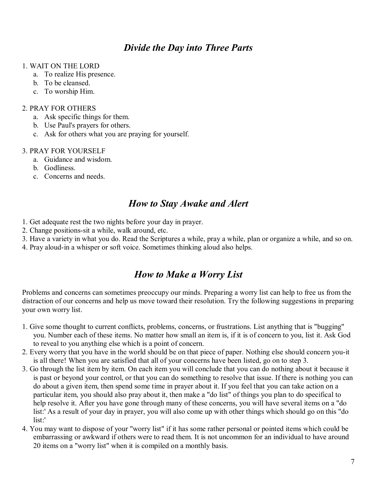## *Divide the Day into Three Parts*

### 1. WAIT ON THE LORD

- a. To realize His presence.
- b. To be cleansed.
- c. To worship Him.

### 2. PRAY FOR OTHERS

- a. Ask specific things for them.
- b. Use Paul's prayers for others.
- c. Ask for others what you are praying for yourself.

### 3. PRAY FOR YOURSELF

- a. Guidance and wisdom.
- b. Godliness.
- c. Concerns and needs.

## *How to Stay Awake and Alert*

- 1. Get adequate rest the two nights before your day in prayer.
- 2. Change positions-sit a while, walk around, etc.
- 3. Have a variety in what you do. Read the Scriptures a while, pray a while, plan or organize a while, and so on.
- 4. Pray aloud-in a whisper or soft voice. Sometimes thinking aloud also helps.

# *How to Make a Worry List*

Problems and concerns can sometimes preoccupy our minds. Preparing a worry list can help to free us from the distraction of our concerns and help us move toward their resolution. Try the following suggestions in preparing your own worry list.

- 1. Give some thought to current conflicts, problems, concerns, or frustrations. List anything that is "bugging" you. Number each of these items. No matter how small an item is, if it is of concern to you, list it. Ask God to reveal to you anything else which is a point of concern.
- 2. Every worry that you have in the world should be on that piece of paper. Nothing else should concern you-it is all there! When you are satisfied that all of your concerns have been listed, go on to step 3.
- 3. Go through the list item by item. On each item you will conclude that you can do nothing about it because it is past or beyond your control, or that you can do something to resolve that issue. If there is nothing you can do about a given item, then spend some time in prayer about it. If you feel that you can take action on a particular item, you should also pray about it, then make a "do list" of things you plan to do specifical to help resolve it. After you have gone through many of these concerns, you will have several items on a "do list:' As a result of your day in prayer, you will also come up with other things which should go on this "do list:'
- 4. You may want to dispose of your "worry list" if it has some rather personal or pointed items which could be embarrassing or awkward if others were to read them. It is not uncommon for an individual to have around 20 items on a "worry list" when it is compiled on a monthly basis.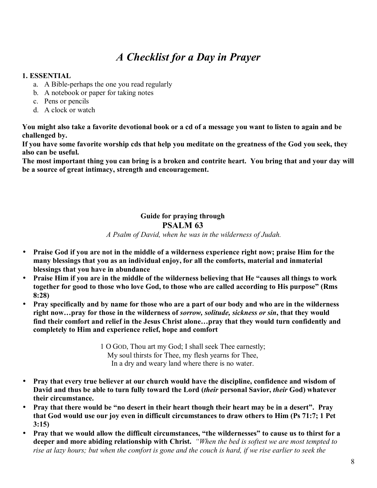# *A Checklist for a Day in Prayer*

### **1. ESSENTIAL**

- a. A Bible-perhaps the one you read regularly
- b. A notebook or paper for taking notes
- c. Pens or pencils
- d. A clock or watch

**You might also take a favorite devotional book or a cd of a message you want to listen to again and be challenged by.** 

**If you have some favorite worship cds that help you meditate on the greatness of the God you seek, they also can be useful.** 

**The most important thing you can bring is a broken and contrite heart. You bring that and your day will be a source of great intimacy, strength and encouragement.** 

## **Guide for praying through PSALM 63**

*A Psalm of David, when he was in the wilderness of Judah.* 

- **Praise God if you are not in the middle of a wilderness experience right now; praise Him for the many blessings that you as an individual enjoy, for all the comforts, material and inmaterial blessings that you have in abundance**
- Praise Him if you are in the middle of the wilderness believing that He "causes all things to work together for good to those who love God, to those who are called according to His purpose" (Rms **8:28)**
- **Pray specifically and by name for those who are a part of our body and who are in the wilderness**  right now...pray for those in the wilderness of *sorrow, solitude, sickness or sin*, that they would find their comfort and relief in the Jesus Christ alone...pray that they would turn confidently and **completely to Him and experience relief, hope and comfort**

1 O GOD, Thou art my God; I shall seek Thee earnestly; My soul thirsts for Thee, my flesh yearns for Thee, In a dry and weary land where there is no water.

- **Pray that every true believer at our church would have the discipline, confidence and wisdom of David and thus be able to turn fully toward the Lord (***their* **personal Savior,** *their* **God) whatever their circumstance.**
- Pray that there would be "no desert in their heart though their heart may be in a desert". Pray **that God would use our joy even in difficult circumstances to draw others to Him (Ps 71:7; 1 Pet 3:15)**
- Pray that we would allow the difficult circumstances, "the wildernesses" to cause us to thirst for a **deeper and more abiding relationship with Christ.** *ìWhen the bed is softest we are most tempted to rise at lazy hours; but when the comfort is gone and the couch is hard, if we rise earlier to seek the*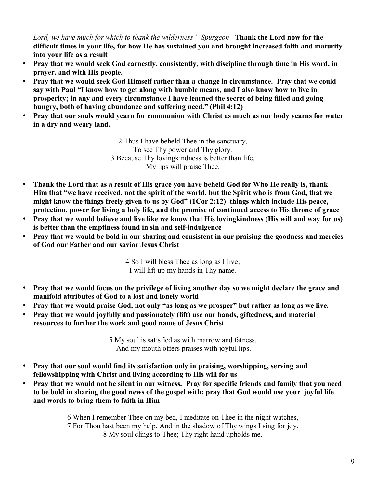Lord, we have much for which to thank the wilderness" Spurgeon **Thank the Lord now for the difficult times in your life, for how He has sustained you and brought increased faith and maturity into your life as a result** 

- **Pray that we would seek God earnestly, consistently, with discipline through time in His word, in prayer, and with His people.**
- **Pray that we would seek God Himself rather than a change in circumstance. Pray that we could**  say with Paul "I know how to get along with humble means, and I also know how to live in **prosperity; in any and every circumstance I have learned the secret of being filled and going**  hungry, both of having abundance and suffering need." (Phil 4:12)
- **Pray that our souls would yearn for communion with Christ as much as our body yearns for water in a dry and weary land.**

2 Thus I have beheld Thee in the sanctuary, To see Thy power and Thy glory. 3 Because Thy lovingkindness is better than life, My lips will praise Thee.

- **Thank the Lord that as a result of His grace you have beheld God for Who He really is, thank**  Him that "we have received, not the spirit of the world, but the Spirit who is from God, that we might know the things freely given to us by God" (1Cor 2:12) things which include His peace, **protection, power for living a holy life, and the promise of continued access to His throne of grace**
- **Pray that we would believe and live like we know that His lovingkindness (His will and way for us) is better than the emptiness found in sin and self-indulgence**
- **Pray that we would be bold in our sharing and consistent in our praising the goodness and mercies of God our Father and our savior Jesus Christ**

4 So I will bless Thee as long as I live; I will lift up my hands in Thy name.

- **Pray that we would focus on the privilege of living another day so we might declare the grace and manifold attributes of God to a lost and lonely world**
- Pray that we would praise God, not only "as long as we prosper" but rather as long as we live.
- **Pray that we would joyfully and passionately (lift) use our hands, giftedness, and material resources to further the work and good name of Jesus Christ**

5 My soul is satisfied as with marrow and fatness, And my mouth offers praises with joyful lips.

- **Pray that our soul would find its satisfaction only in praising, worshipping, serving and fellowshipping with Christ and living according to His will for us**
- **Pray that we would not be silent in our witness. Pray for specific friends and family that you need to be bold in sharing the good news of the gospel with; pray that God would use your joyful life and words to bring them to faith in Him**
	- 6 When I remember Thee on my bed, I meditate on Thee in the night watches,

7 For Thou hast been my help, And in the shadow of Thy wings I sing for joy.

8 My soul clings to Thee; Thy right hand upholds me.